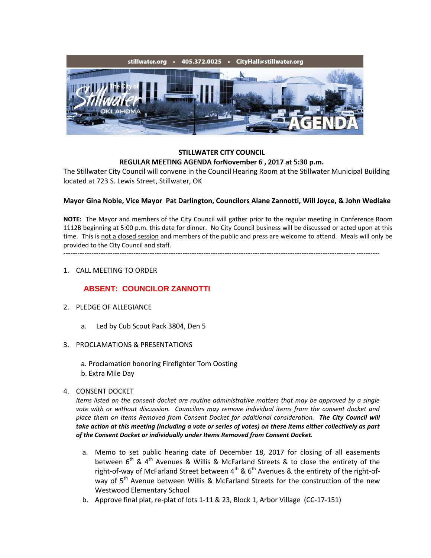

### **STILLWATER CITY COUNCIL REGULAR MEETING AGENDA forNovember 6 , 2017 at 5:30 p.m.**

The Stillwater City Council will convene in the Council Hearing Room at the Stillwater Municipal Building located at 723 S. Lewis Street, Stillwater, OK

### **Mayor Gina Noble, Vice Mayor Pat Darlington, Councilors Alane Zannotti, Will Joyce, & John Wedlake**

**NOTE:** The Mayor and members of the City Council will gather prior to the regular meeting in Conference Room 1112B beginning at 5:00 p.m. this date for dinner. No City Council business will be discussed or acted upon at this time. This is not a closed session and members of the public and press are welcome to attend. Meals will only be provided to the City Council and staff.

---------------------------------------------------------------------------------------------------------------------------------------

### 1. CALL MEETING TO ORDER

# **ABSENT: COUNCILOR ZANNOTTI**

- 2. PLEDGE OF ALLEGIANCE
	- a. Led by Cub Scout Pack 3804, Den 5
- 3. PROCLAMATIONS & PRESENTATIONS
	- a. Proclamation honoring Firefighter Tom Oosting
	- b. Extra Mile Day

## 4. CONSENT DOCKET

*Items listed on the consent docket are routine administrative matters that may be approved by a single vote with or without discussion. Councilors may remove individual items from the consent docket and place them on Items Removed from Consent Docket for additional consideration. The City Council will take action at this meeting (including a vote or series of votes) on these items either collectively as part of the Consent Docket or individually under Items Removed from Consent Docket.*

- a. Memo to set public hearing date of December 18, 2017 for closing of all easements between  $6<sup>th</sup>$  & 4<sup>th</sup> Avenues & Willis & McFarland Streets & to close the entirety of the right-of-way of McFarland Street between  $4^{th}$  &  $6^{th}$  Avenues & the entirety of the right-ofway of 5<sup>th</sup> Avenue between Willis & McFarland Streets for the construction of the new Westwood Elementary School
- b. Approve final plat, re-plat of lots 1-11 & 23, Block 1, Arbor Village (CC-17-151)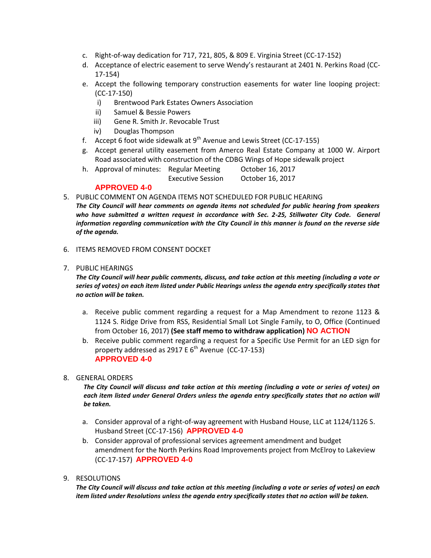- c. Right-of-way dedication for 717, 721, 805, & 809 E. Virginia Street (CC-17-152)
- d. Acceptance of electric easement to serve Wendy's restaurant at 2401 N. Perkins Road (CC-17-154)
- e. Accept the following temporary construction easements for water line looping project: (CC-17-150)
	- i) Brentwood Park Estates Owners Association
	- ii) Samuel & Bessie Powers
	- iii) Gene R. Smith Jr. Revocable Trust
	- iv) Douglas Thompson
- f. Accept 6 foot wide sidewalk at  $9^{th}$  Avenue and Lewis Street (CC-17-155)
- g. Accept general utility easement from Amerco Real Estate Company at 1000 W. Airport Road associated with construction of the CDBG Wings of Hope sidewalk project
- h. Approval of minutes: Regular Meeting October 16, 2017 Executive Session October 16, 2017

# **APPROVED 4-0**

5. PUBLIC COMMENT ON AGENDA ITEMS NOT SCHEDULED FOR PUBLIC HEARING

- *The City Council will hear comments on agenda items not scheduled for public hearing from speakers*  who have submitted a written request in accordance with Sec. 2-25, Stillwater City Code. General *information regarding communication with the City Council in this manner is found on the reverse side of the agenda.*
- 6. ITEMS REMOVED FROM CONSENT DOCKET
- 7. PUBLIC HEARINGS

*The City Council will hear public comments, discuss, and take action at this meeting (including a vote or series of votes) on each item listed under Public Hearings unless the agenda entry specifically states that no action will be taken.*

- a. Receive public comment regarding a request for a Map Amendment to rezone 1123 & 1124 S. Ridge Drive from RSS, Residential Small Lot Single Family, to O, Office (Continued from October 16, 2017) **(See staff memo to withdraw application) NO ACTION**
- b. Receive public comment regarding a request for a Specific Use Permit for an LED sign for property addressed as 2917 E  $6<sup>th</sup>$  Avenue (CC-17-153) **APPROVED 4-0**

### 8. GENERAL ORDERS

*The City Council will discuss and take action at this meeting (including a vote or series of votes) on*  each item listed under General Orders unless the agenda entry specifically states that no action will *be taken.*

- a. Consider approval of a right-of-way agreement with Husband House, LLC at 1124/1126 S. Husband Street (CC-17-156) **APPROVED 4-0**
- b. Consider approval of professional services agreement amendment and budget amendment for the North Perkins Road Improvements project from McElroy to Lakeview (CC-17-157) **APPROVED 4-0**
- 9. RESOLUTIONS

*The City Council will discuss and take action at this meeting (including a vote or series of votes) on each item listed under Resolutions unless the agenda entry specifically states that no action will be taken.*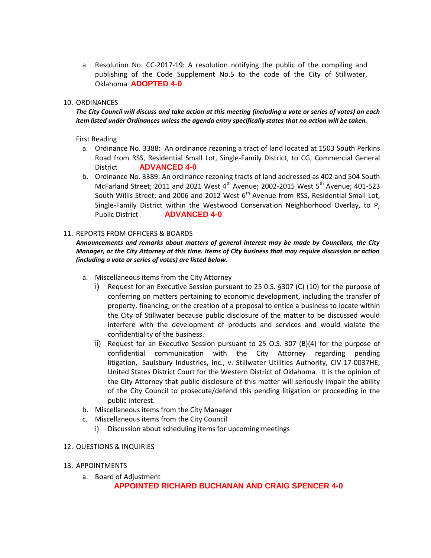a. Resolution No. CC-2017-19: A resolution notifying the public of the compiling and publishing of the Code Supplement No.5 to the code of the City of Stillwater, Oklahoma **ADOPTED 4-0**

### 10. ORDINANCES

*The City Council will discuss and take action at this meeting (including a vote or series of votes) on each item listed under Ordinances unless the agenda entry specifically states that no action will be taken.*

#### First Reading

- a. Ordinance No. 3388: An ordinance rezoning a tract of land located at 1503 South Perkins Road from RSS, Residential Small Lot, Single-Family District, to CG, Commercial General District **ADVANCED 4-0**
- b. Ordinance No. 3389: An ordinance rezoning tracts of land addressed as 402 and 504 South McFarland Street; 2011 and 2021 West  $4<sup>th</sup>$  Avenue; 2002-2015 West  $5<sup>th</sup>$  Avenue; 401-523 South Willis Street; and 2006 and 2012 West  $6<sup>th</sup>$  Avenue from RSS, Residential Small Lot, Single-Family District within the Westwood Conservation Neighborhood Overlay, to P, Public District **ADVANCED 4-0**

#### 11. REPORTS FROM OFFICERS & BOARDS

*Announcements and remarks about matters of general interest may be made by Councilors, the City Manager, or the City Attorney at this time. Items of City business that may require discussion or action (including a vote or series of votes) are listed below.*

- a. Miscellaneous items from the City Attorney
	- i) Request for an Executive Session pursuant to 25 0.S. §307 (C) (10) for the purpose of conferring on matters pertaining to economic development, including the transfer of property, financing, or the creation of a proposal to entice a business to locate within the City of Stillwater because public disclosure of the matter to be discussed would interfere with the development of products and services and would violate the confidentiality of the business.
	- ii) Request for an Executive Session pursuant to 25 O.S. 307 (B)(4) for the purpose of confidential communication with the City Attorney regarding pending litigation, Saulsbury Industries, Inc., v. Stillwater Utilities Authority, CIV-17-0037HE; United States District Court for the Western District of Oklahoma. It is the opinion of the City Attorney that public disclosure of this matter will seriously impair the ability of the City Council to prosecute/defend this pending litigation or proceeding in the public interest.
- b. Miscellaneous items from the City Manager
- c. Miscellaneous items from the City Council
	- i) Discussion about scheduling items for upcoming meetings

#### 12. QUESTIONS & INQUIRIES

- 13. APPOINTMENTS
	- a. Board of Adjustment

**APPOINTED RICHARD BUCHANAN AND CRAIG SPENCER 4-0**